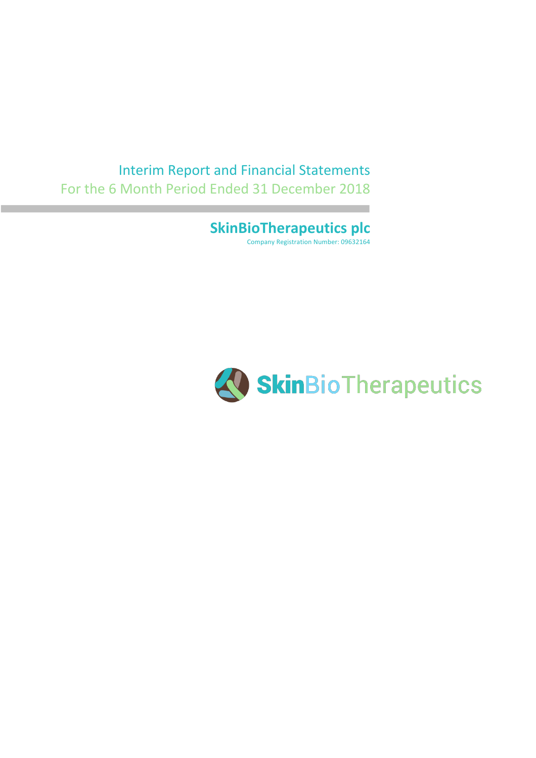### Interim Report and Financial Statements For the 6 Month Period Ended 31 December 2018

**SkinBioTherapeutics plc** Company Registration Number: 09632164

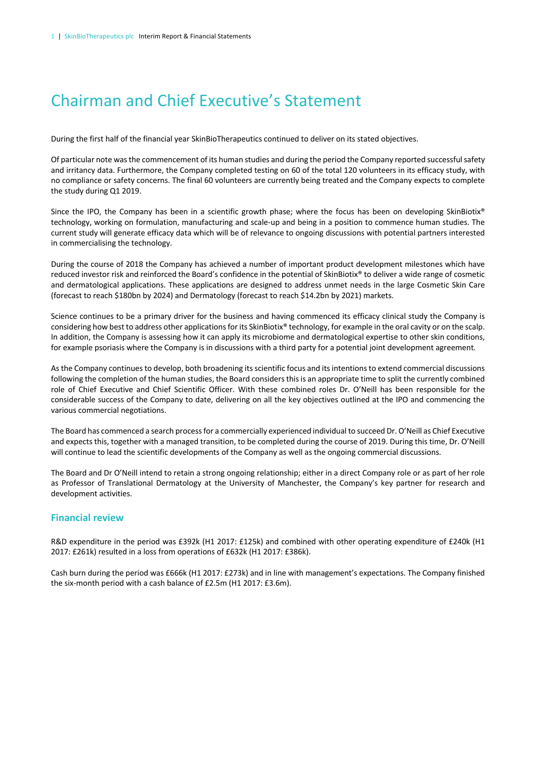## Chairman and Chief Executive's Statement

During the first half of the financial year SkinBioTherapeutics continued to deliver on its stated objectives.

Of particular note was the commencement of its human studies and during the period the Company reported successful safety and irritancy data. Furthermore, the Company completed testing on 60 of the total 120 volunteers in its efficacy study, with no compliance or safety concerns. The final 60 volunteers are currently being treated and the Company expects to complete the study during Q1 2019.

Since the IPO, the Company has been in a scientific growth phase; where the focus has been on developing SkinBiotix® technology, working on formulation, manufacturing and scale-up and being in a position to commence human studies. The current study will generate efficacy data which will be of relevance to ongoing discussions with potential partners interested in commercialising the technology.

During the course of 2018 the Company has achieved a number of important product development milestones which have reduced investor risk and reinforced the Board's confidence in the potential of SkinBiotix® to deliver a wide range of cosmetic and dermatological applications. These applications are designed to address unmet needs in the large Cosmetic Skin Care (forecast to reach \$180bn by 2024) and Dermatology (forecast to reach \$14.2bn by 2021) markets.

Science continues to be a primary driver for the business and having commenced its efficacy clinical study the Company is considering how best to address other applications for its SkinBiotix® technology, for example in the oral cavity or on the scalp. In addition, the Company is assessing how it can apply its microbiome and dermatological expertise to other skin conditions, for example psoriasis where the Company is in discussions with a third party for a potential joint development agreement.

As the Company continues to develop, both broadening its scientific focus and its intentions to extend commercial discussions following the completion of the human studies, the Board considers this is an appropriate time to split the currently combined role of Chief Executive and Chief Scientific Officer. With these combined roles Dr. O'Neill has been responsible for the considerable success of the Company to date, delivering on all the key objectives outlined at the IPO and commencing the various commercial negotiations.

The Board has commenced a search process for a commercially experienced individual to succeed Dr. O'Neill as Chief Executive and expects this, together with a managed transition, to be completed during the course of 2019. During this time, Dr. O'Neill will continue to lead the scientific developments of the Company as well as the ongoing commercial discussions.

The Board and Dr O'Neill intend to retain a strong ongoing relationship; either in a direct Company role or as part of her role as Professor of Translational Dermatology at the University of Manchester, the Company's key partner for research and development activities.

### **Financial review**

R&D expenditure in the period was £392k (H1 2017: £125k) and combined with other operating expenditure of £240k (H1 2017: £261k) resulted in a loss from operations of £632k (H1 2017: £386k).

Cash burn during the period was £666k (H1 2017: £273k) and in line with management's expectations. The Company finished the six-month period with a cash balance of £2.5m (H1 2017: £3.6m).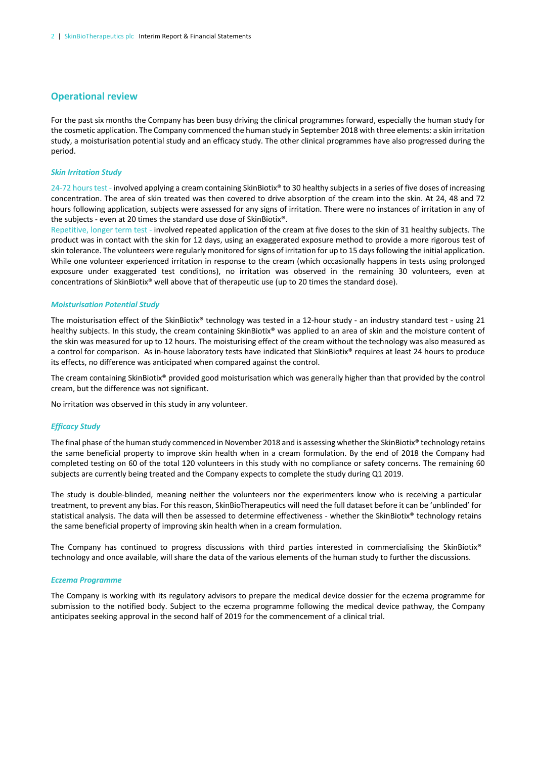### **Operational review**

For the past six months the Company has been busy driving the clinical programmes forward, especially the human study for the cosmetic application. The Company commenced the human study in September 2018 with three elements: a skin irritation study, a moisturisation potential study and an efficacy study. The other clinical programmes have also progressed during the period.

#### *Skin Irritation Study*

24-72 hours test - involved applying a cream containing SkinBiotix® to 30 healthy subjects in a series of five doses of increasing concentration. The area of skin treated was then covered to drive absorption of the cream into the skin. At 24, 48 and 72 hours following application, subjects were assessed for any signs of irritation. There were no instances of irritation in any of the subjects - even at 20 times the standard use dose of SkinBiotix®.

Repetitive, longer term test - involved repeated application of the cream at five doses to the skin of 31 healthy subjects. The product was in contact with the skin for 12 days, using an exaggerated exposure method to provide a more rigorous test of skin tolerance. The volunteers were regularly monitored for signs of irritation for up to 15 days following the initial application. While one volunteer experienced irritation in response to the cream (which occasionally happens in tests using prolonged exposure under exaggerated test conditions), no irritation was observed in the remaining 30 volunteers, even at concentrations of SkinBiotix® well above that of therapeutic use (up to 20 times the standard dose).

#### *Moisturisation Potential Study*

The moisturisation effect of the SkinBiotix® technology was tested in a 12-hour study - an industry standard test - using 21 healthy subjects. In this study, the cream containing SkinBiotix® was applied to an area of skin and the moisture content of the skin was measured for up to 12 hours. The moisturising effect of the cream without the technology was also measured as a control for comparison. As in-house laboratory tests have indicated that SkinBiotix® requires at least 24 hours to produce its effects, no difference was anticipated when compared against the control.

The cream containing SkinBiotix® provided good moisturisation which was generally higher than that provided by the control cream, but the difference was not significant.

No irritation was observed in this study in any volunteer.

### *Efficacy Study*

The final phase of the human study commenced in November 2018 and is assessing whether the SkinBiotix® technology retains the same beneficial property to improve skin health when in a cream formulation. By the end of 2018 the Company had completed testing on 60 of the total 120 volunteers in this study with no compliance or safety concerns. The remaining 60 subjects are currently being treated and the Company expects to complete the study during Q1 2019.

The study is double-blinded, meaning neither the volunteers nor the experimenters know who is receiving a particular treatment, to prevent any bias. For this reason, SkinBioTherapeutics will need the full dataset before it can be 'unblinded' for statistical analysis. The data will then be assessed to determine effectiveness - whether the SkinBiotix® technology retains the same beneficial property of improving skin health when in a cream formulation.

The Company has continued to progress discussions with third parties interested in commercialising the SkinBiotix® technology and once available, will share the data of the various elements of the human study to further the discussions.

#### *Eczema Programme*

The Company is working with its regulatory advisors to prepare the medical device dossier for the eczema programme for submission to the notified body. Subject to the eczema programme following the medical device pathway, the Company anticipates seeking approval in the second half of 2019 for the commencement of a clinical trial.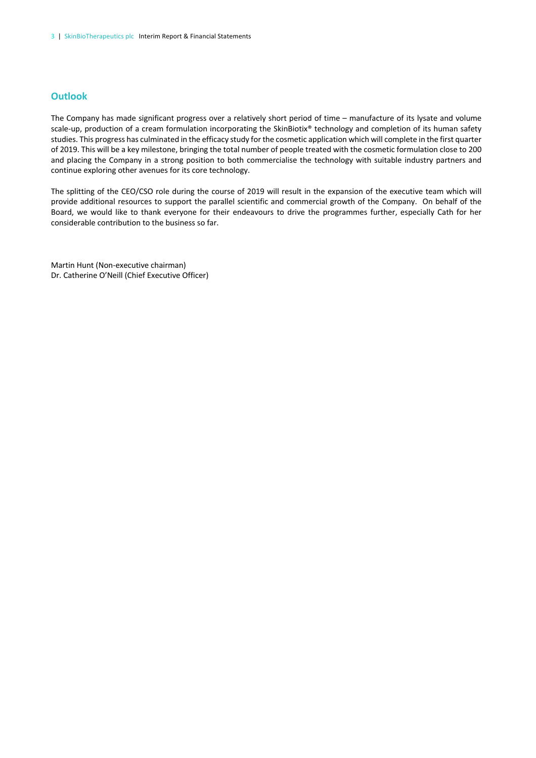### **Outlook**

The Company has made significant progress over a relatively short period of time – manufacture of its lysate and volume scale-up, production of a cream formulation incorporating the SkinBiotix® technology and completion of its human safety studies. This progress has culminated in the efficacy study for the cosmetic application which will complete in the first quarter of 2019. This will be a key milestone, bringing the total number of people treated with the cosmetic formulation close to 200 and placing the Company in a strong position to both commercialise the technology with suitable industry partners and continue exploring other avenues for its core technology.

The splitting of the CEO/CSO role during the course of 2019 will result in the expansion of the executive team which will provide additional resources to support the parallel scientific and commercial growth of the Company. On behalf of the Board, we would like to thank everyone for their endeavours to drive the programmes further, especially Cath for her considerable contribution to the business so far.

Martin Hunt (Non-executive chairman) Dr. Catherine O'Neill (Chief Executive Officer)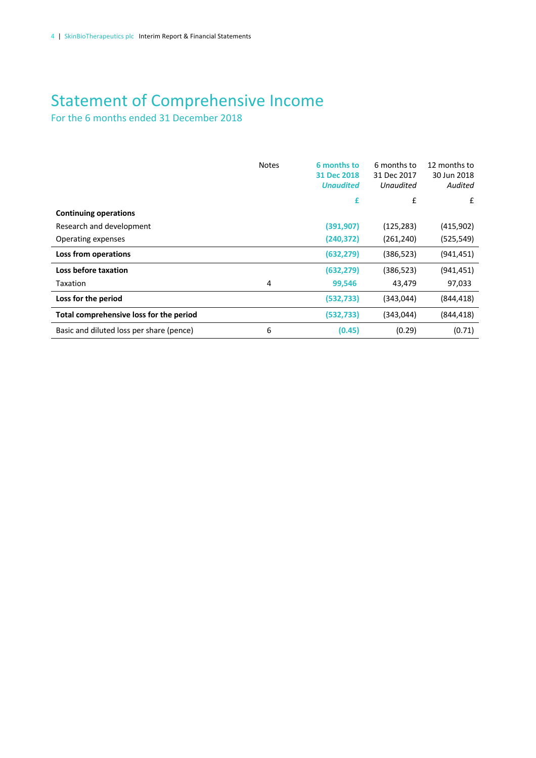# Statement of Comprehensive Income

For the 6 months ended 31 December 2018

|                                          | <b>Notes</b> | 6 months to<br>31 Dec 2018<br><b>Unaudited</b> | 6 months to<br>31 Dec 2017<br><b>Unaudited</b> | 12 months to<br>30 Jun 2018<br>Audited |
|------------------------------------------|--------------|------------------------------------------------|------------------------------------------------|----------------------------------------|
|                                          |              | £                                              | £                                              | £                                      |
| <b>Continuing operations</b>             |              |                                                |                                                |                                        |
| Research and development                 |              | (391, 907)                                     | (125, 283)                                     | (415,902)                              |
| Operating expenses                       |              | (240, 372)                                     | (261, 240)                                     | (525, 549)                             |
| Loss from operations                     |              | (632, 279)                                     | (386, 523)                                     | (941, 451)                             |
| Loss before taxation                     |              | (632, 279)                                     | (386, 523)                                     | (941, 451)                             |
| Taxation                                 | 4            | 99,546                                         | 43,479                                         | 97,033                                 |
| Loss for the period                      |              | (532, 733)                                     | (343,044)                                      | (844, 418)                             |
| Total comprehensive loss for the period  |              | (532, 733)                                     | (343,044)                                      | (844, 418)                             |
| Basic and diluted loss per share (pence) | 6            | (0.45)                                         | (0.29)                                         | (0.71)                                 |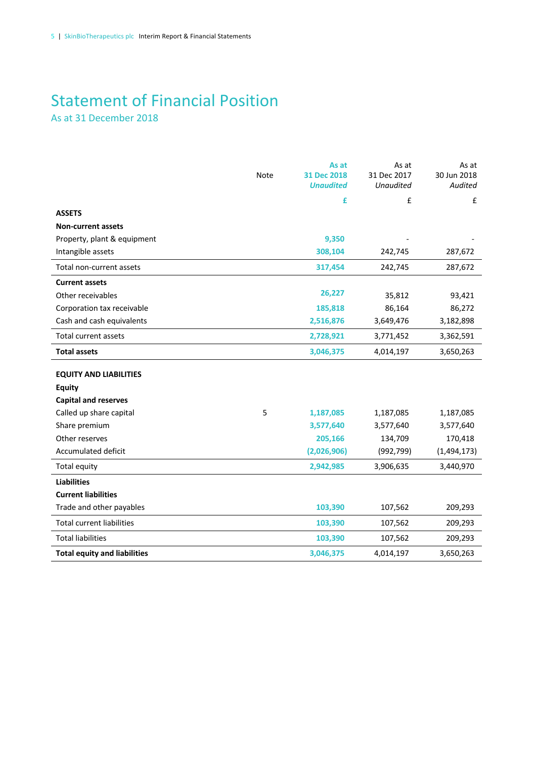### Statement of Financial Position As at 31 December 2018

|                                     | <b>Note</b> | As at<br>31 Dec 2018<br><b>Unaudited</b> | As at<br>31 Dec 2017<br><b>Unaudited</b> | As at<br>30 Jun 2018<br>Audited |
|-------------------------------------|-------------|------------------------------------------|------------------------------------------|---------------------------------|
|                                     |             | £                                        | £                                        | £                               |
| <b>ASSETS</b>                       |             |                                          |                                          |                                 |
| <b>Non-current assets</b>           |             |                                          |                                          |                                 |
| Property, plant & equipment         |             | 9,350                                    |                                          |                                 |
| Intangible assets                   |             | 308,104                                  | 242,745                                  | 287,672                         |
| Total non-current assets            |             | 317,454                                  | 242,745                                  | 287,672                         |
| <b>Current assets</b>               |             |                                          |                                          |                                 |
| Other receivables                   |             | 26,227                                   | 35,812                                   | 93,421                          |
| Corporation tax receivable          |             | 185,818                                  | 86,164                                   | 86,272                          |
| Cash and cash equivalents           |             | 2,516,876                                | 3,649,476                                | 3,182,898                       |
| <b>Total current assets</b>         |             | 2,728,921                                | 3,771,452                                | 3,362,591                       |
| <b>Total assets</b>                 |             | 3,046,375                                | 4,014,197                                | 3,650,263                       |
| <b>EQUITY AND LIABILITIES</b>       |             |                                          |                                          |                                 |
| <b>Equity</b>                       |             |                                          |                                          |                                 |
| <b>Capital and reserves</b>         |             |                                          |                                          |                                 |
| Called up share capital             | 5           | 1,187,085                                | 1,187,085                                | 1,187,085                       |
| Share premium                       |             | 3,577,640                                | 3,577,640                                | 3,577,640                       |
| Other reserves                      |             | 205,166                                  | 134,709                                  | 170,418                         |
| Accumulated deficit                 |             | (2,026,906)                              | (992, 799)                               | (1,494,173)                     |
| Total equity                        |             | 2,942,985                                | 3,906,635                                | 3,440,970                       |
| <b>Liabilities</b>                  |             |                                          |                                          |                                 |
| <b>Current liabilities</b>          |             |                                          |                                          |                                 |
| Trade and other payables            |             | 103,390                                  | 107,562                                  | 209,293                         |
| <b>Total current liabilities</b>    |             | 103,390                                  | 107,562                                  | 209,293                         |
| <b>Total liabilities</b>            |             | 103,390                                  | 107,562                                  | 209,293                         |
| <b>Total equity and liabilities</b> |             | 3,046,375                                | 4,014,197                                | 3,650,263                       |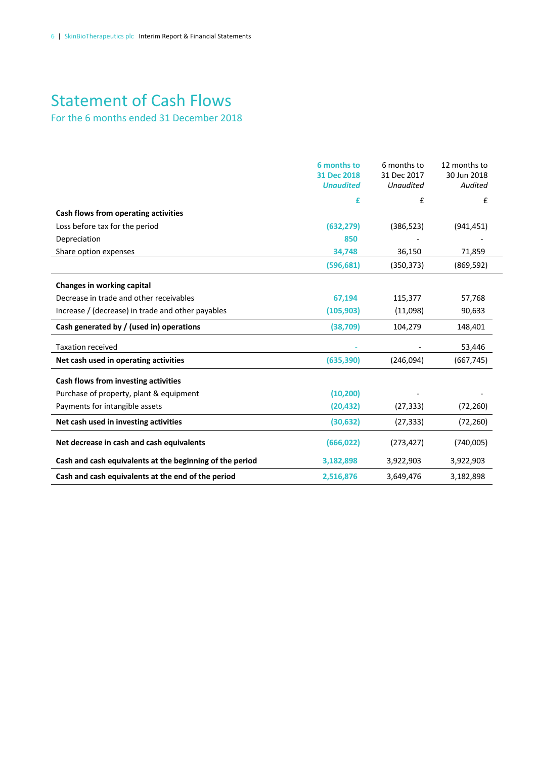# Statement of Cash Flows

For the 6 months ended 31 December 2018

|                                                          | 6 months to<br>31 Dec 2018<br><b>Unaudited</b> | 6 months to<br>31 Dec 2017<br><b>Unaudited</b> | 12 months to<br>30 Jun 2018<br>Audited |
|----------------------------------------------------------|------------------------------------------------|------------------------------------------------|----------------------------------------|
|                                                          | £                                              | £                                              | £                                      |
| Cash flows from operating activities                     |                                                |                                                |                                        |
| Loss before tax for the period                           | (632, 279)                                     | (386, 523)                                     | (941, 451)                             |
| Depreciation                                             | 850                                            |                                                |                                        |
| Share option expenses                                    | 34,748                                         | 36,150                                         | 71,859                                 |
|                                                          | (596, 681)                                     | (350, 373)                                     | (869, 592)                             |
| Changes in working capital                               |                                                |                                                |                                        |
| Decrease in trade and other receivables                  | 67,194                                         | 115,377                                        | 57,768                                 |
| Increase / (decrease) in trade and other payables        | (105, 903)                                     | (11,098)                                       | 90,633                                 |
| Cash generated by / (used in) operations                 | (38, 709)                                      | 104,279                                        | 148,401                                |
| <b>Taxation received</b>                                 |                                                |                                                | 53,446                                 |
| Net cash used in operating activities                    | (635, 390)                                     | (246,094)                                      | (667, 745)                             |
| Cash flows from investing activities                     |                                                |                                                |                                        |
| Purchase of property, plant & equipment                  | (10, 200)                                      |                                                |                                        |
| Payments for intangible assets                           | (20, 432)                                      | (27, 333)                                      | (72, 260)                              |
| Net cash used in investing activities                    | (30, 632)                                      | (27, 333)                                      | (72, 260)                              |
| Net decrease in cash and cash equivalents                | (666, 022)                                     | (273, 427)                                     | (740,005)                              |
| Cash and cash equivalents at the beginning of the period | 3,182,898                                      | 3,922,903                                      | 3,922,903                              |
| Cash and cash equivalents at the end of the period       | 2,516,876                                      | 3,649,476                                      | 3,182,898                              |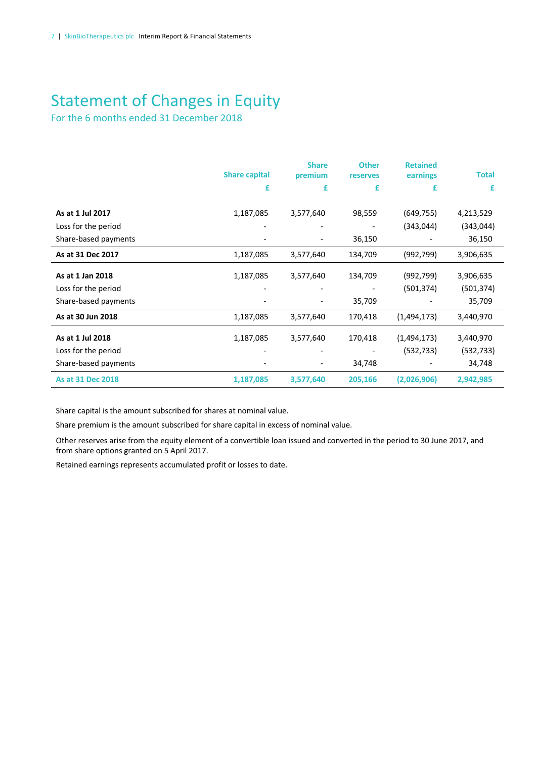# Statement of Changes in Equity

For the 6 months ended 31 December 2018

|                      | <b>Share capital</b> | <b>Share</b><br>premium | <b>Other</b><br>reserves | <b>Retained</b><br>earnings | <b>Total</b> |
|----------------------|----------------------|-------------------------|--------------------------|-----------------------------|--------------|
|                      | £                    | £                       | £                        | £                           | £            |
|                      |                      |                         |                          |                             |              |
| As at 1 Jul 2017     | 1,187,085            | 3,577,640               | 98,559                   | (649, 755)                  | 4,213,529    |
| Loss for the period  |                      |                         |                          | (343, 044)                  | (343,044)    |
| Share-based payments |                      |                         | 36,150                   |                             | 36,150       |
| As at 31 Dec 2017    | 1,187,085            | 3,577,640               | 134,709                  | (992,799)                   | 3,906,635    |
| As at 1 Jan 2018     | 1,187,085            | 3,577,640               | 134,709                  | (992,799)                   | 3,906,635    |
| Loss for the period  |                      |                         |                          | (501, 374)                  | (501, 374)   |
| Share-based payments |                      |                         | 35,709                   |                             | 35,709       |
| As at 30 Jun 2018    | 1,187,085            | 3,577,640               | 170,418                  | (1,494,173)                 | 3,440,970    |
| As at 1 Jul 2018     | 1,187,085            | 3,577,640               | 170,418                  | (1,494,173)                 | 3,440,970    |
| Loss for the period  |                      |                         |                          | (532, 733)                  | (532, 733)   |
| Share-based payments |                      |                         | 34,748                   |                             | 34,748       |
| As at 31 Dec 2018    | 1,187,085            | 3,577,640               | 205,166                  | (2,026,906)                 | 2,942,985    |

Share capital is the amount subscribed for shares at nominal value.

Share premium is the amount subscribed for share capital in excess of nominal value.

Other reserves arise from the equity element of a convertible loan issued and converted in the period to 30 June 2017, and from share options granted on 5 April 2017.

Retained earnings represents accumulated profit or losses to date.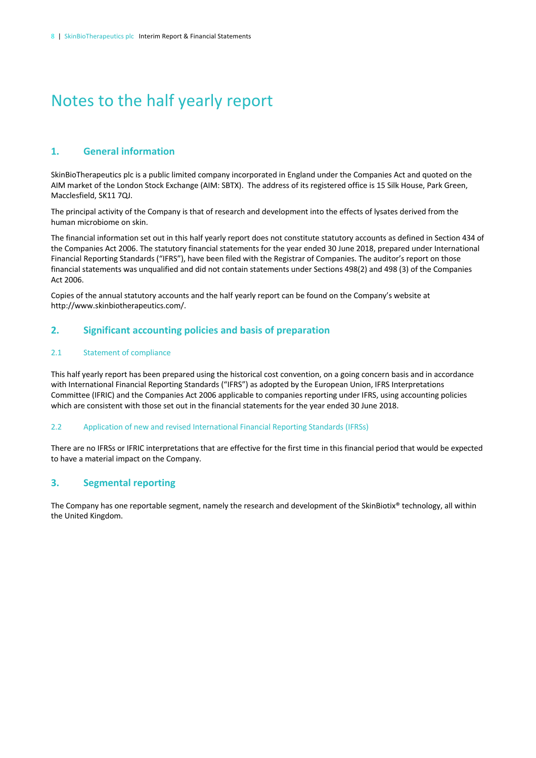# Notes to the half yearly report

### **1. General information**

SkinBioTherapeutics plc is a public limited company incorporated in England under the Companies Act and quoted on the AIM market of the London Stock Exchange (AIM: SBTX). The address of its registered office is 15 Silk House, Park Green, Macclesfield, SK11 7QJ.

The principal activity of the Company is that of research and development into the effects of lysates derived from the human microbiome on skin.

The financial information set out in this half yearly report does not constitute statutory accounts as defined in Section 434 of the Companies Act 2006. The statutory financial statements for the year ended 30 June 2018, prepared under International Financial Reporting Standards ("IFRS"), have been filed with the Registrar of Companies. The auditor's report on those financial statements was unqualified and did not contain statements under Sections 498(2) and 498 (3) of the Companies Act 2006.

Copies of the annual statutory accounts and the half yearly report can be found on the Company's website at http://www.skinbiotherapeutics.com/.

### **2. Significant accounting policies and basis of preparation**

### 2.1 Statement of compliance

This half yearly report has been prepared using the historical cost convention, on a going concern basis and in accordance with International Financial Reporting Standards ("IFRS") as adopted by the European Union, IFRS Interpretations Committee (IFRIC) and the Companies Act 2006 applicable to companies reporting under IFRS, using accounting policies which are consistent with those set out in the financial statements for the year ended 30 June 2018.

### 2.2 Application of new and revised International Financial Reporting Standards (IFRSs)

There are no IFRSs or IFRIC interpretations that are effective for the first time in this financial period that would be expected to have a material impact on the Company.

### **3. Segmental reporting**

The Company has one reportable segment, namely the research and development of the SkinBiotix® technology, all within the United Kingdom.